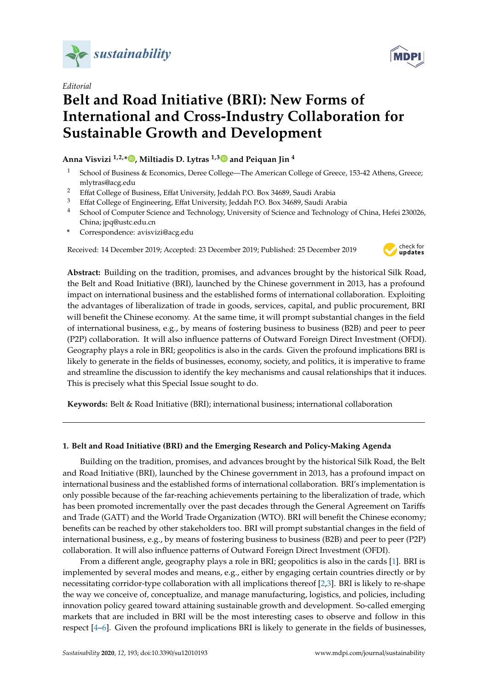

*Editorial*

# **Belt and Road Initiative (BRI): New Forms of International and Cross-Industry Collaboration for Sustainable Growth and Development**

## **Anna Visvizi 1,2,\* [,](https://orcid.org/0000-0003-3240-3771) Miltiadis D. Lytras 1,[3](https://orcid.org/0000-0002-7281-5458) and Peiquan Jin <sup>4</sup>**

- <sup>1</sup> School of Business & Economics, Deree College—The American College of Greece, 153-42 Athens, Greece; mlytras@acg.edu
- <sup>2</sup> Effat College of Business, Effat University, Jeddah P.O. Box 34689, Saudi Arabia
- <sup>3</sup> Effat College of Engineering, Effat University, Jeddah P.O. Box 34689, Saudi Arabia
- <sup>4</sup> School of Computer Science and Technology, University of Science and Technology of China, Hefei 230026, China; jpq@ustc.edu.cn
- **\*** Correspondence: avisvizi@acg.edu

Received: 14 December 2019; Accepted: 23 December 2019; Published: 25 December 2019



**Abstract:** Building on the tradition, promises, and advances brought by the historical Silk Road, the Belt and Road Initiative (BRI), launched by the Chinese government in 2013, has a profound impact on international business and the established forms of international collaboration. Exploiting the advantages of liberalization of trade in goods, services, capital, and public procurement, BRI will benefit the Chinese economy. At the same time, it will prompt substantial changes in the field of international business, e.g., by means of fostering business to business (B2B) and peer to peer (P2P) collaboration. It will also influence patterns of Outward Foreign Direct Investment (OFDI). Geography plays a role in BRI; geopolitics is also in the cards. Given the profound implications BRI is likely to generate in the fields of businesses, economy, society, and politics, it is imperative to frame and streamline the discussion to identify the key mechanisms and causal relationships that it induces. This is precisely what this Special Issue sought to do.

**Keywords:** Belt & Road Initiative (BRI); international business; international collaboration

## **1. Belt and Road Initiative (BRI) and the Emerging Research and Policy-Making Agenda**

Building on the tradition, promises, and advances brought by the historical Silk Road, the Belt and Road Initiative (BRI), launched by the Chinese government in 2013, has a profound impact on international business and the established forms of international collaboration. BRI's implementation is only possible because of the far-reaching achievements pertaining to the liberalization of trade, which has been promoted incrementally over the past decades through the General Agreement on Tariffs and Trade (GATT) and the World Trade Organization (WTO). BRI will benefit the Chinese economy; benefits can be reached by other stakeholders too. BRI will prompt substantial changes in the field of international business, e.g., by means of fostering business to business (B2B) and peer to peer (P2P) collaboration. It will also influence patterns of Outward Foreign Direct Investment (OFDI).

From a different angle, geography plays a role in BRI; geopolitics is also in the cards [\[1\]](#page-3-0). BRI is implemented by several modes and means, e.g., either by engaging certain countries directly or by necessitating corridor-type collaboration with all implications thereof [\[2,](#page-3-1)[3\]](#page-3-2). BRI is likely to re-shape the way we conceive of, conceptualize, and manage manufacturing, logistics, and policies, including innovation policy geared toward attaining sustainable growth and development. So-called emerging markets that are included in BRI will be the most interesting cases to observe and follow in this respect [\[4–](#page-3-3)[6\]](#page-3-4). Given the profound implications BRI is likely to generate in the fields of businesses,

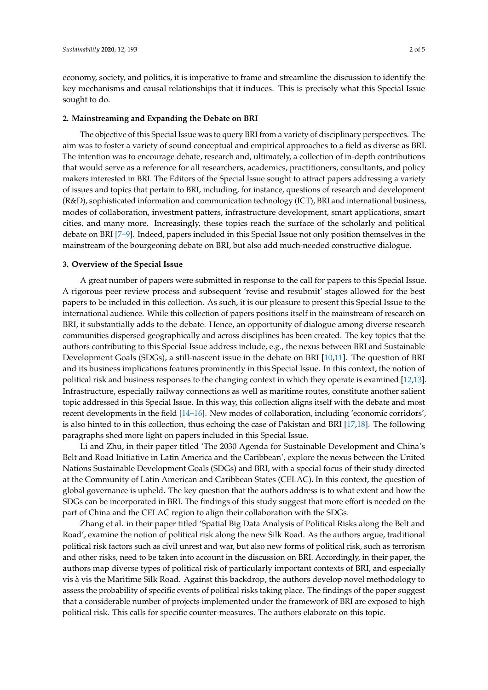economy, society, and politics, it is imperative to frame and streamline the discussion to identify the key mechanisms and causal relationships that it induces. This is precisely what this Special Issue sought to do.

#### **2. Mainstreaming and Expanding the Debate on BRI**

The objective of this Special Issue was to query BRI from a variety of disciplinary perspectives. The aim was to foster a variety of sound conceptual and empirical approaches to a field as diverse as BRI. The intention was to encourage debate, research and, ultimately, a collection of in-depth contributions that would serve as a reference for all researchers, academics, practitioners, consultants, and policy makers interested in BRI. The Editors of the Special Issue sought to attract papers addressing a variety of issues and topics that pertain to BRI, including, for instance, questions of research and development (R&D), sophisticated information and communication technology (ICT), BRI and international business, modes of collaboration, investment patters, infrastructure development, smart applications, smart cities, and many more. Increasingly, these topics reach the surface of the scholarly and political debate on BRI [\[7–](#page-3-5)[9\]](#page-3-6). Indeed, papers included in this Special Issue not only position themselves in the mainstream of the bourgeoning debate on BRI, but also add much-needed constructive dialogue.

### **3. Overview of the Special Issue**

A great number of papers were submitted in response to the call for papers to this Special Issue. A rigorous peer review process and subsequent 'revise and resubmit' stages allowed for the best papers to be included in this collection. As such, it is our pleasure to present this Special Issue to the international audience. While this collection of papers positions itself in the mainstream of research on BRI, it substantially adds to the debate. Hence, an opportunity of dialogue among diverse research communities dispersed geographically and across disciplines has been created. The key topics that the authors contributing to this Special Issue address include, e.g., the nexus between BRI and Sustainable Development Goals (SDGs), a still-nascent issue in the debate on BRI [\[10,](#page-3-7)[11\]](#page-3-8). The question of BRI and its business implications features prominently in this Special Issue. In this context, the notion of political risk and business responses to the changing context in which they operate is examined [\[12](#page-3-9)[,13\]](#page-3-10). Infrastructure, especially railway connections as well as maritime routes, constitute another salient topic addressed in this Special Issue. In this way, this collection aligns itself with the debate and most recent developments in the field [\[14–](#page-3-11)[16\]](#page-3-12). New modes of collaboration, including 'economic corridors', is also hinted to in this collection, thus echoing the case of Pakistan and BRI [\[17,](#page-4-0)[18\]](#page-4-1). The following paragraphs shed more light on papers included in this Special Issue.

Li and Zhu, in their paper titled 'The 2030 Agenda for Sustainable Development and China's Belt and Road Initiative in Latin America and the Caribbean', explore the nexus between the United Nations Sustainable Development Goals (SDGs) and BRI, with a special focus of their study directed at the Community of Latin American and Caribbean States (CELAC). In this context, the question of global governance is upheld. The key question that the authors address is to what extent and how the SDGs can be incorporated in BRI. The findings of this study suggest that more effort is needed on the part of China and the CELAC region to align their collaboration with the SDGs.

Zhang et al. in their paper titled 'Spatial Big Data Analysis of Political Risks along the Belt and Road', examine the notion of political risk along the new Silk Road. As the authors argue, traditional political risk factors such as civil unrest and war, but also new forms of political risk, such as terrorism and other risks, need to be taken into account in the discussion on BRI. Accordingly, in their paper, the authors map diverse types of political risk of particularly important contexts of BRI, and especially vis à vis the Maritime Silk Road. Against this backdrop, the authors develop novel methodology to assess the probability of specific events of political risks taking place. The findings of the paper suggest that a considerable number of projects implemented under the framework of BRI are exposed to high political risk. This calls for specific counter-measures. The authors elaborate on this topic.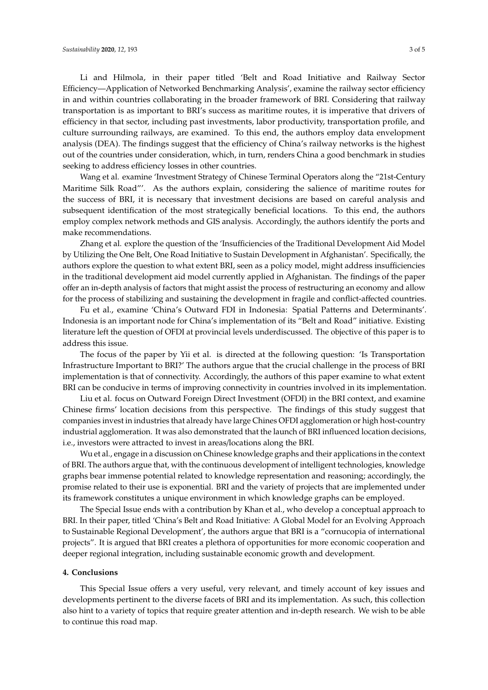Li and Hilmola, in their paper titled 'Belt and Road Initiative and Railway Sector Efficiency—Application of Networked Benchmarking Analysis', examine the railway sector efficiency in and within countries collaborating in the broader framework of BRI. Considering that railway transportation is as important to BRI's success as maritime routes, it is imperative that drivers of efficiency in that sector, including past investments, labor productivity, transportation profile, and culture surrounding railways, are examined. To this end, the authors employ data envelopment analysis (DEA). The findings suggest that the efficiency of China's railway networks is the highest out of the countries under consideration, which, in turn, renders China a good benchmark in studies seeking to address efficiency losses in other countries.

Wang et al. examine 'Investment Strategy of Chinese Terminal Operators along the "21st-Century Maritime Silk Road"'. As the authors explain, considering the salience of maritime routes for the success of BRI, it is necessary that investment decisions are based on careful analysis and subsequent identification of the most strategically beneficial locations. To this end, the authors employ complex network methods and GIS analysis. Accordingly, the authors identify the ports and make recommendations.

Zhang et al. explore the question of the 'Insufficiencies of the Traditional Development Aid Model by Utilizing the One Belt, One Road Initiative to Sustain Development in Afghanistan'. Specifically, the authors explore the question to what extent BRI, seen as a policy model, might address insufficiencies in the traditional development aid model currently applied in Afghanistan. The findings of the paper offer an in-depth analysis of factors that might assist the process of restructuring an economy and allow for the process of stabilizing and sustaining the development in fragile and conflict-affected countries.

Fu et al., examine 'China's Outward FDI in Indonesia: Spatial Patterns and Determinants'. Indonesia is an important node for China's implementation of its "Belt and Road" initiative. Existing literature left the question of OFDI at provincial levels underdiscussed. The objective of this paper is to address this issue.

The focus of the paper by Yii et al. is directed at the following question: 'Is Transportation Infrastructure Important to BRI?' The authors argue that the crucial challenge in the process of BRI implementation is that of connectivity. Accordingly, the authors of this paper examine to what extent BRI can be conducive in terms of improving connectivity in countries involved in its implementation.

Liu et al. focus on Outward Foreign Direct Investment (OFDI) in the BRI context, and examine Chinese firms' location decisions from this perspective. The findings of this study suggest that companies invest in industries that already have large Chines OFDI agglomeration or high host-country industrial agglomeration. It was also demonstrated that the launch of BRI influenced location decisions, i.e., investors were attracted to invest in areas/locations along the BRI.

Wu et al., engage in a discussion on Chinese knowledge graphs and their applications in the context of BRI. The authors argue that, with the continuous development of intelligent technologies, knowledge graphs bear immense potential related to knowledge representation and reasoning; accordingly, the promise related to their use is exponential. BRI and the variety of projects that are implemented under its framework constitutes a unique environment in which knowledge graphs can be employed.

The Special Issue ends with a contribution by Khan et al., who develop a conceptual approach to BRI. In their paper, titled 'China's Belt and Road Initiative: A Global Model for an Evolving Approach to Sustainable Regional Development', the authors argue that BRI is a "cornucopia of international projects". It is argued that BRI creates a plethora of opportunities for more economic cooperation and deeper regional integration, including sustainable economic growth and development.

#### **4. Conclusions**

This Special Issue offers a very useful, very relevant, and timely account of key issues and developments pertinent to the diverse facets of BRI and its implementation. As such, this collection also hint to a variety of topics that require greater attention and in-depth research. We wish to be able to continue this road map.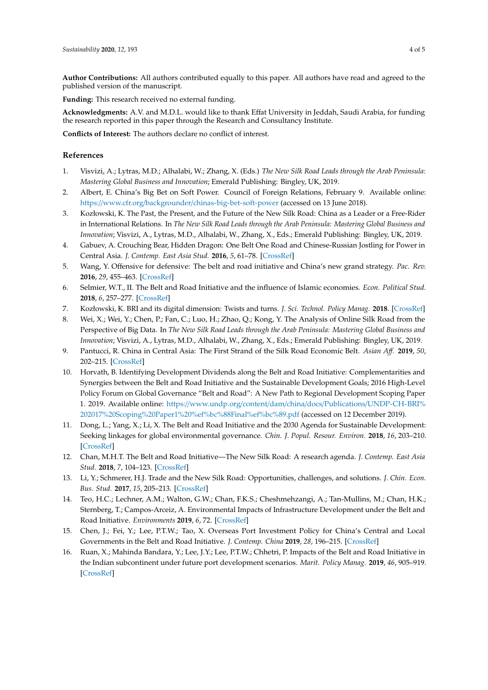**Author Contributions:** All authors contributed equally to this paper. All authors have read and agreed to the published version of the manuscript.

**Funding:** This research received no external funding.

**Acknowledgments:** A.V. and M.D.L. would like to thank Effat University in Jeddah, Saudi Arabia, for funding the research reported in this paper through the Research and Consultancy Institute.

**Conflicts of Interest:** The authors declare no conflict of interest.

#### **References**

- <span id="page-3-0"></span>1. Visvizi, A.; Lytras, M.D.; Alhalabi, W.; Zhang, X. (Eds.) *The New Silk Road Leads through the Arab Peninsula: Mastering Global Business and Innovation*; Emerald Publishing: Bingley, UK, 2019.
- <span id="page-3-1"></span>2. Albert, E. China's Big Bet on Soft Power. Council of Foreign Relations, February 9. Available online: https://www.cfr.org/backgrounder/[chinas-big-bet-soft-power](https://www.cfr.org/backgrounder/chinas-big-bet-soft-power) (accessed on 13 June 2018).
- <span id="page-3-2"></span>3. Kozłowski, K. The Past, the Present, and the Future of the New Silk Road: China as a Leader or a Free-Rider in International Relations. In *The New Silk Road Leads through the Arab Peninsula: Mastering Global Business and Innovation*; Visvizi, A., Lytras, M.D., Alhalabi, W., Zhang, X., Eds.; Emerald Publishing: Bingley, UK, 2019.
- <span id="page-3-3"></span>4. Gabuev, A. Crouching Bear, Hidden Dragon: One Belt One Road and Chinese-Russian Jostling for Power in Central Asia. *J. Contemp. East Asia Stud.* **2016**, *5*, 61–78. [\[CrossRef\]](http://dx.doi.org/10.1080/24761028.2016.11869097)
- 5. Wang, Y. Offensive for defensive: The belt and road initiative and China's new grand strategy. *Pac. Rev.* **2016**, *29*, 455–463. [\[CrossRef\]](http://dx.doi.org/10.1080/09512748.2016.1154690)
- <span id="page-3-4"></span>6. Selmier, W.T., II. The Belt and Road Initiative and the influence of Islamic economies. *Econ. Political Stud.* **2018**, *6*, 257–277. [\[CrossRef\]](http://dx.doi.org/10.1080/20954816.2018.1498989)
- <span id="page-3-5"></span>7. Kozłowski, K. BRI and its digital dimension: Twists and turns. *J. Sci. Technol. Policy Manag.* **2018**. [\[CrossRef\]](http://dx.doi.org/10.1108/JSTPM-06-2018-0062)
- 8. Wei, X.; Wei, Y.; Chen, P.; Fan, C.; Luo, H.; Zhao, Q.; Kong, Y. The Analysis of Online Silk Road from the Perspective of Big Data. In *The New Silk Road Leads through the Arab Peninsula: Mastering Global Business and Innovation*; Visvizi, A., Lytras, M.D., Alhalabi, W., Zhang, X., Eds.; Emerald Publishing: Bingley, UK, 2019.
- <span id="page-3-6"></span>9. Pantucci, R. China in Central Asia: The First Strand of the Silk Road Economic Belt. *Asian A*ff*.* **2019**, *50*, 202–215. [\[CrossRef\]](http://dx.doi.org/10.1080/03068374.2019.1622930)
- <span id="page-3-7"></span>10. Horvath, B. Identifying Development Dividends along the Belt and Road Initiative: Complementarities and Synergies between the Belt and Road Initiative and the Sustainable Development Goals; 2016 High-Level Policy Forum on Global Governance "Belt and Road": A New Path to Regional Development Scoping Paper 1. 2019. Available online: https://www.undp.org/content/dam/china/docs/Publications/[UNDP-CH-BRI%](https://www.undp.org/content/dam/china/docs/Publications/UNDP-CH-BRI%202017%20Scoping%20Paper1%20%ef%bc%88Final%ef%bc%89.pdf) [202017%20Scoping%20Paper1%20%ef%bc%88Final%ef%bc%89.pdf](https://www.undp.org/content/dam/china/docs/Publications/UNDP-CH-BRI%202017%20Scoping%20Paper1%20%ef%bc%88Final%ef%bc%89.pdf) (accessed on 12 December 2019).
- <span id="page-3-8"></span>11. Dong, L.; Yang, X.; Li, X. The Belt and Road Initiative and the 2030 Agenda for Sustainable Development: Seeking linkages for global environmental governance. *Chin. J. Popul. Resour. Environ.* **2018**, *16*, 203–210. [\[CrossRef\]](http://dx.doi.org/10.1080/10042857.2018.1487745)
- <span id="page-3-9"></span>12. Chan, M.H.T. The Belt and Road Initiative—The New Silk Road: A research agenda. *J. Contemp. East Asia Stud.* **2018**, *7*, 104–123. [\[CrossRef\]](http://dx.doi.org/10.1080/24761028.2019.1580407)
- <span id="page-3-10"></span>13. Li, Y.; Schmerer, H.J. Trade and the New Silk Road: Opportunities, challenges, and solutions. *J. Chin. Econ. Bus. Stud.* **2017**, *15*, 205–213. [\[CrossRef\]](http://dx.doi.org/10.1080/14765284.2017.1347473)
- <span id="page-3-11"></span>14. Teo, H.C.; Lechner, A.M.; Walton, G.W.; Chan, F.K.S.; Cheshmehzangi, A.; Tan-Mullins, M.; Chan, H.K.; Sternberg, T.; Campos-Arceiz, A. Environmental Impacts of Infrastructure Development under the Belt and Road Initiative. *Environments* **2019**, *6*, 72. [\[CrossRef\]](http://dx.doi.org/10.3390/environments6060072)
- 15. Chen, J.; Fei, Y.; Lee, P.T.W.; Tao, X. Overseas Port Investment Policy for China's Central and Local Governments in the Belt and Road Initiative. *J. Contemp. China* **2019**, *28*, 196–215. [\[CrossRef\]](http://dx.doi.org/10.1080/10670564.2018.1511392)
- <span id="page-3-12"></span>16. Ruan, X.; Mahinda Bandara, Y.; Lee, J.Y.; Lee, P.T.W.; Chhetri, P. Impacts of the Belt and Road Initiative in the Indian subcontinent under future port development scenarios. *Marit. Policy Manag.* **2019**, *46*, 905–919. [\[CrossRef\]](http://dx.doi.org/10.1080/03088839.2019.1594425)